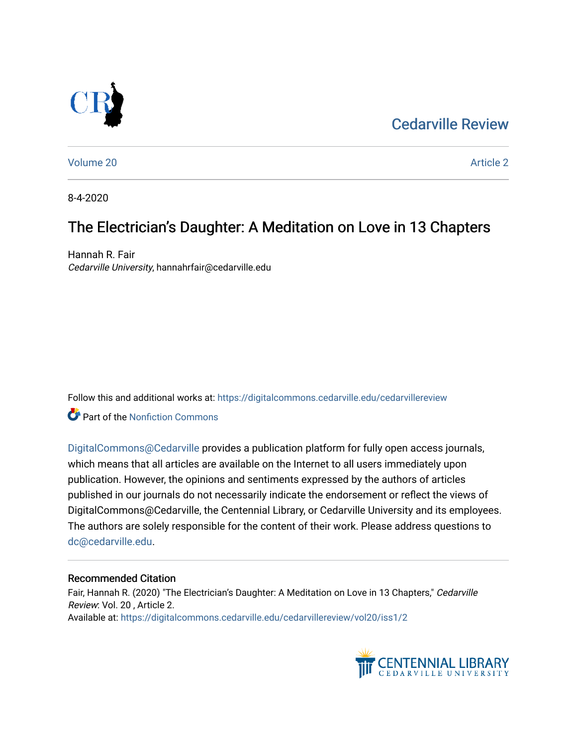## [Cedarville Review](https://digitalcommons.cedarville.edu/cedarvillereview)



[Volume 20](https://digitalcommons.cedarville.edu/cedarvillereview/vol20) [Article 2](https://digitalcommons.cedarville.edu/cedarvillereview/vol20/iss1/2) 

8-4-2020

# The Electrician's Daughter: A Meditation on Love in 13 Chapters

Hannah R. Fair Cedarville University, hannahrfair@cedarville.edu

Follow this and additional works at: [https://digitalcommons.cedarville.edu/cedarvillereview](https://digitalcommons.cedarville.edu/cedarvillereview?utm_source=digitalcommons.cedarville.edu%2Fcedarvillereview%2Fvol20%2Fiss1%2F2&utm_medium=PDF&utm_campaign=PDFCoverPages) 

Part of the [Nonfiction Commons](http://network.bepress.com/hgg/discipline/1152?utm_source=digitalcommons.cedarville.edu%2Fcedarvillereview%2Fvol20%2Fiss1%2F2&utm_medium=PDF&utm_campaign=PDFCoverPages) 

[DigitalCommons@Cedarville](http://digitalcommons.cedarville.edu/) provides a publication platform for fully open access journals, which means that all articles are available on the Internet to all users immediately upon publication. However, the opinions and sentiments expressed by the authors of articles published in our journals do not necessarily indicate the endorsement or reflect the views of DigitalCommons@Cedarville, the Centennial Library, or Cedarville University and its employees. The authors are solely responsible for the content of their work. Please address questions to [dc@cedarville.edu.](mailto:dc@cedarville.edu)

#### Recommended Citation

Fair, Hannah R. (2020) "The Electrician's Daughter: A Meditation on Love in 13 Chapters," Cedarville Review: Vol. 20 , Article 2. Available at: [https://digitalcommons.cedarville.edu/cedarvillereview/vol20/iss1/2](https://digitalcommons.cedarville.edu/cedarvillereview/vol20/iss1/2?utm_source=digitalcommons.cedarville.edu%2Fcedarvillereview%2Fvol20%2Fiss1%2F2&utm_medium=PDF&utm_campaign=PDFCoverPages) 

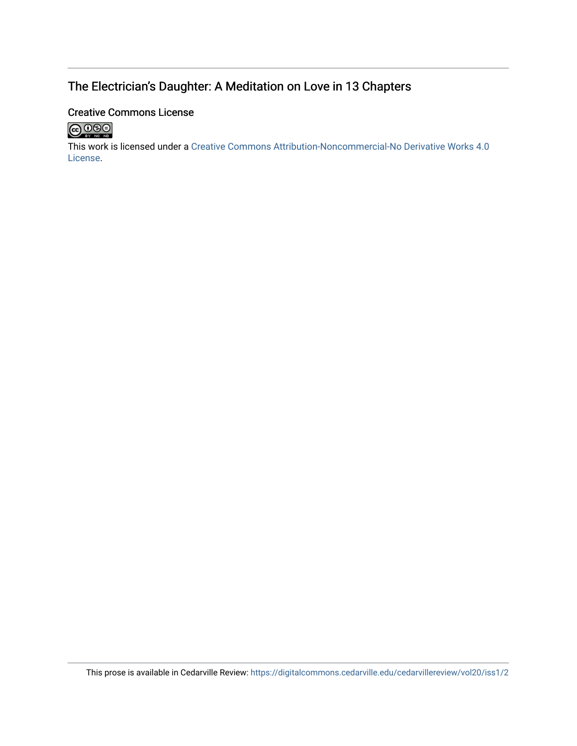### The Electrician's Daughter: A Meditation on Love in 13 Chapters

#### Creative Commons License



This work is licensed under a [Creative Commons Attribution-Noncommercial-No Derivative Works 4.0](http://creativecommons.org/licenses/by-nc-nd/4.0/) [License](http://creativecommons.org/licenses/by-nc-nd/4.0/).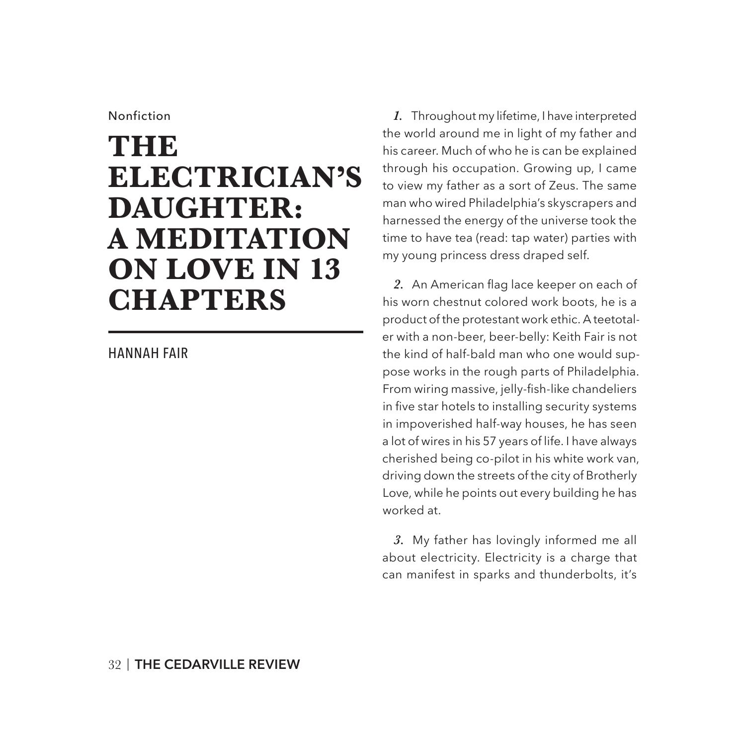#### Nonfiction

# **THE ELECTRICIAN'S DAUGHTER: A MEDITATION ON LOVE IN 13 CHAPTERS**

#### HANNAH FAIR

*1.* Throughout my lifetime, I have interpreted the world around me in light of my father and his career. Much of who he is can be explained through his occupation. Growing up, I came to view my father as a sort of Zeus. The same man who wired Philadelphia's skyscrapers and harnessed the energy of the universe took the time to have tea (read: tap water) parties with my young princess dress draped self.

*2.* An American flag lace keeper on each of his worn chestnut colored work boots, he is a product of the protestant work ethic. A teetotaler with a non-beer, beer-belly: Keith Fair is not the kind of half-bald man who one would suppose works in the rough parts of Philadelphia. From wiring massive, jelly-fish-like chandeliers in five star hotels to installing security systems in impoverished half-way houses, he has seen a lot of wires in his 57 years of life. I have always cherished being co-pilot in his white work van, driving down the streets of the city of Brotherly Love, while he points out every building he has worked at.

*3.* My father has lovingly informed me all about electricity. Electricity is a charge that can manifest in sparks and thunderbolts, it's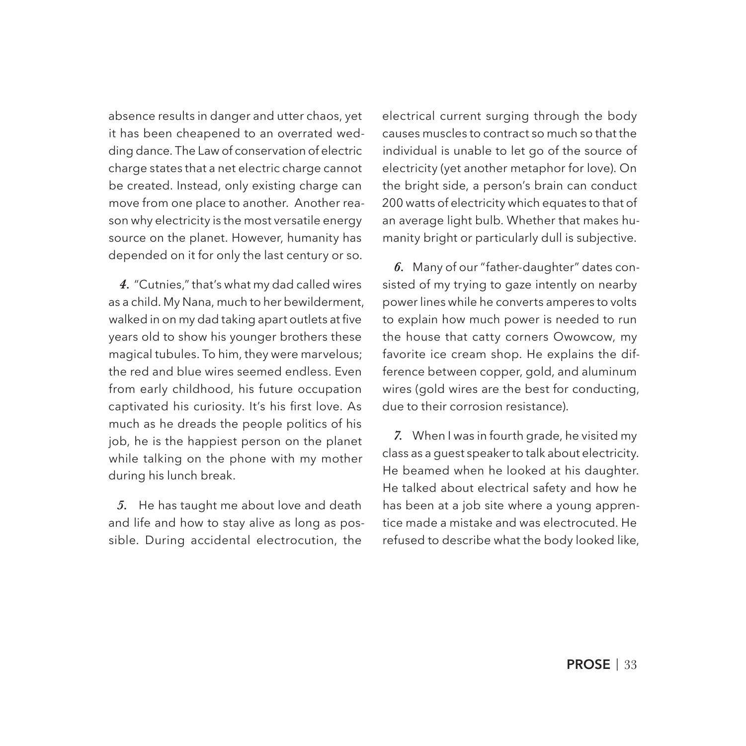absence results in danger and utter chaos, yet it has been cheapened to an overrated wedding dance. The Law of conservation of electric charge states that a net electric charge cannot be created. Instead, only existing charge can move from one place to another. Another reason why electricity is the most versatile energy source on the planet. However, humanity has depended on it for only the last century or so.

*4.* "Cutnies," that's what my dad called wires as a child. My Nana, much to her bewilderment, walked in on my dad taking apart outlets at five years old to show his younger brothers these magical tubules. To him, they were marvelous; the red and blue wires seemed endless. Even from early childhood, his future occupation captivated his curiosity. It's his first love. As much as he dreads the people politics of his job, he is the happiest person on the planet while talking on the phone with my mother during his lunch break.

*5.* He has taught me about love and death and life and how to stay alive as long as possible. During accidental electrocution, the

electrical current surging through the body causes muscles to contract so much so that the individual is unable to let go of the source of electricity (yet another metaphor for love). On the bright side, a person's brain can conduct 200 watts of electricity which equates to that of an average light bulb. Whether that makes humanity bright or particularly dull is subjective.

*6.* Many of our "father-daughter" dates consisted of my trying to gaze intently on nearby power lines while he converts amperes to volts to explain how much power is needed to run the house that catty corners Owowcow, my favorite ice cream shop. He explains the difference between copper, gold, and aluminum wires (gold wires are the best for conducting, due to their corrosion resistance).

*7.* When I was in fourth grade, he visited my class as a guest speaker to talk about electricity. He beamed when he looked at his daughter. He talked about electrical safety and how he has been at a job site where a young apprentice made a mistake and was electrocuted. He refused to describe what the body looked like,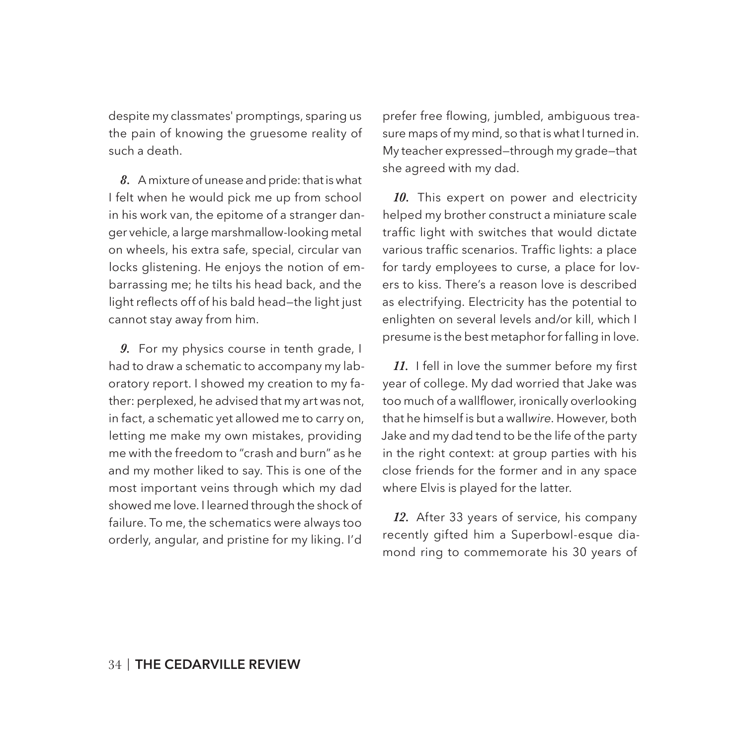despite my classmates' promptings, sparing us the pain of knowing the gruesome reality of such a death.

*8.* A mixture of unease and pride: that is what I felt when he would pick me up from school in his work van, the epitome of a stranger danger vehicle, a large marshmallow-looking metal on wheels, his extra safe, special, circular van locks glistening. He enjoys the notion of embarrassing me; he tilts his head back, and the light reflects off of his bald head—the light just cannot stay away from him.

*9.* For my physics course in tenth grade, I had to draw a schematic to accompany my laboratory report. I showed my creation to my father: perplexed, he advised that my art was not, in fact, a schematic yet allowed me to carry on, letting me make my own mistakes, providing me with the freedom to "crash and burn" as he and my mother liked to say. This is one of the most important veins through which my dad showed me love. I learned through the shock of failure. To me, the schematics were always too orderly, angular, and pristine for my liking. I'd

prefer free flowing, jumbled, ambiguous treasure maps of my mind, so that is what I turned in. My teacher expressed—through my grade—that she agreed with my dad.

*10.* This expert on power and electricity helped my brother construct a miniature scale traffic light with switches that would dictate various traffic scenarios. Traffic lights: a place for tardy employees to curse, a place for lovers to kiss. There's a reason love is described as electrifying. Electricity has the potential to enlighten on several levels and/or kill, which I presume is the best metaphor for falling in love.

*11.* I fell in love the summer before my first year of college. My dad worried that Jake was too much of a wallflower, ironically overlooking that he himself is but a wall*wire*. However, both Jake and my dad tend to be the life of the party in the right context: at group parties with his close friends for the former and in any space where Elvis is played for the latter.

*12.* After 33 years of service, his company recently gifted him a Superbowl-esque diamond ring to commemorate his 30 years of